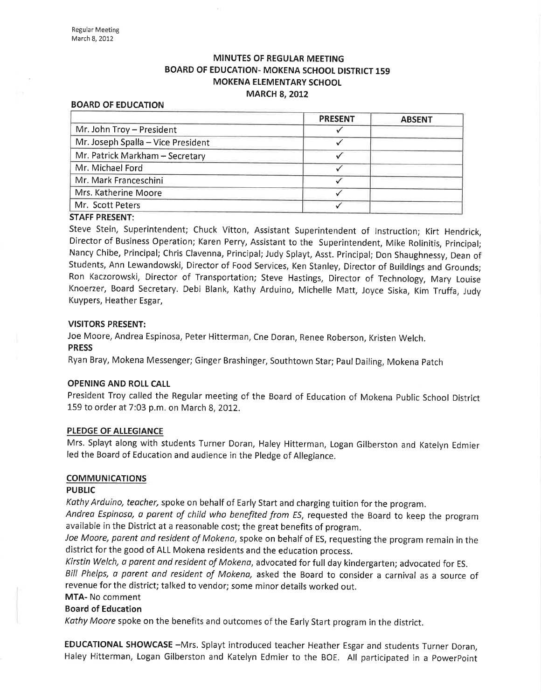# **MINUTES OF REGULAR MEETING** BOARD OF EDUCATION- MOKENA SCHOOL DISTRICT 159 MOKENA ELEMENTARY SCHOOL **MARCH 8, 2012**

#### BOARD OF EDUCATION

|                                    | <b>PRESENT</b> | <b>ABSENT</b> |
|------------------------------------|----------------|---------------|
| Mr. John Troy - President          |                |               |
| Mr. Joseph Spalla - Vice President |                |               |
| Mr. Patrick Markham - Secretary    |                |               |
| Mr. Michael Ford                   |                |               |
| Mr. Mark Franceschini              |                |               |
| Mrs. Katherine Moore               |                |               |
| Mr. Scott Peters                   |                |               |
| CTAFF DDFCFNIT.                    |                |               |

#### STAFF PRESENT:

Steve Stein, Superintendent; Chuck Vitton, Assistant Superintendent of lnstruction; Kirt Hendrick, Director of Business Operation; Karen Perry, Assistant to the Superintendent, Mike Rolinitis, principal; Nancy Chibe, Principal; Chris Clavenna, Principal; Judy Splayt, Asst. Principal; Don Shaughnessy, Dean of Students, Ann Lewandowski, Director of Food Services, Ken Stanley, Director of Buildings and Grounds; Ron Kaczorowski, Director of Transportation; Steve Hastings, Director of Technology, Mary Louise Knoerzer, Board Secretary. Debi Blank, Kathy Arduino, Michelle Matt, Joyce Siska, Kim Truffa, Judy Kuypers, Heather Esgar,

#### VISITORS PRESENT:

Joe Moore, Andrea Espinosa, Peter Hitterman, Cne Doran, Renee Roberson, Kristen Welch. PRESS

Ryan Bray, Mokena Messenger; Ginger Brashinger, Southtown Star; PaulDailing, Mokena patch

#### OPENING AND ROLL CALL

President Troy called the Regular meeting of the Board of Education of Mokena public School District 159 to order at 7:03 p.m. on March 8,2012.

#### PLEDGE OF ALLEGIANCE

Mrs. Splayt along with students Turner Doran, Haley Hitterman, Logan Gilberston and Katelyn Edmier led the Board of Education and audience in the pledge of Allegiance.

## **COMMUNICATIONS**

#### PUBLIC

Kathy Arduino, teacher, spoke on behalf of Early Start and charging tuition for the program.

Andrea Espinosa, a parent of child who benefited from ES, requested the Board to keep the program available in the District at a reasonable cost; the great benefits of program.

Joe Moore, parent and resident of Mokena, spoke on behalf of ES, requesting the program remain in the district for the good of ALL Mokena residents and the education process.

Kirstin Welch, a parent and resident of Mokena, advocated for full day kindergarten; advocated for ES.

Bill Phelps, a parent and resident of Mokena, asked the Board to consider a carnival as a source of revenue for the district; talked to vendor; some minor details worked out.

# MTA- No comment

## Board of Education

Kathy Moore spoke on the benefits and outcomes of the Early Start program in the district.

EDUCATIONAL SHOWCASE -Mrs. Splayt introduced teacher Heather Esgar and students Turner Doran, Haley Hitterman, Logan Gilberston and Katelyn Edmier to the BOE. All participated in a powerpoint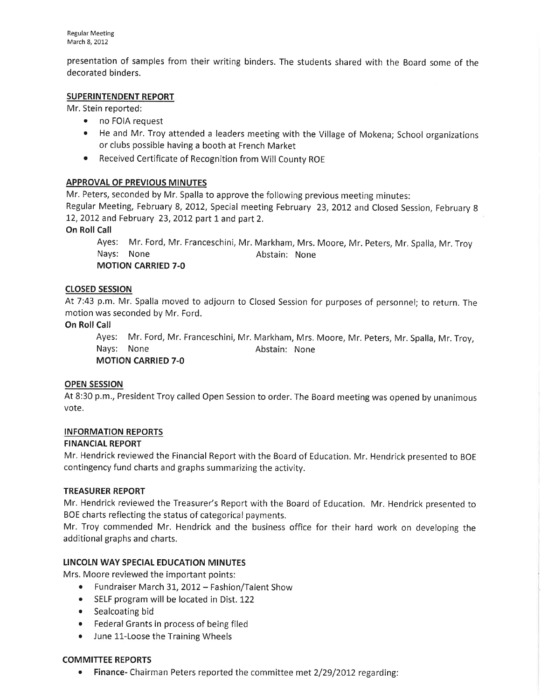presentation of samples from their writing binders. The students shared with the Board some of the decorated binders.

# SUPERINTENDENT REPORT

Mr. Stein reported:

- no FOIA request
- o He and Mr, Troy attended a leaders meeting with the Village of Mokena; School organizations or clubs possible having a booth at French Market
- o Received Certificate of Recognition from Will County ROE

# **APPROVAL OF PREVIOUS MINUTES**

Mr. Peters, seconded by Mr. Spalla to approve the following previous meeting minutes:

Regular Meeting, February 8, 2012, Special meeting February 23, 2012 and Closed Session, February 8 12,2012 and February 23,2012 part 1 and part 2.

# **On Roll Call**

Ayes: Mr. Ford, Mr. Franceschini, Mr. Markham, Mrs. Moore, Mr. Peters, Mr. Spalla, Mr. Troy Nays: None **Abstain:** None MOTION CARRIED 7-O

# cLosED sEssroN

At 7:43 p.m. Mr. Spalla moved to adjourn to Closed Session for purposes of personnel; to return. The motion was seconded by Mr. Ford.

## On Roll Call

Ayes: Mr. Ford, Mr. Franceschini, Mr. Markham, Mrs. Moore, Mr. Peters, Mr. Spalla, Mr. Troy, Nays: None **Abstain:** None MOTION CARRIED 7-O

## OPEN SESSION

At 8:30 p.m., President Troy called Open Session to order. The Board meeting was opened by unanimous vote.

# INFORMATION REPORTS

## FINANCIAL REPORT

Mr. Hendrick reviewed the Financial Report with the Board of Education. Mr. Hendrick presented to BOE contingency fund charts and graphs summarizing the activity.

## TREASURER REPORT

Mr. Hendrick reviewed the Treasurer's Report with the Board of Education, Mr. Hendrick presented to BOE charts reflecting the status of categorical payments.

Mr. Troy commended Mr. Hendrick and the business office for their hard work on developing the additional graphs and charts.

# LINCOLN WAY SPECIAL EDUCATION MINUTES

Mrs. Moore reviewed the important points:

- Fundraiser March 31, 2012 Fashion/Talent Show
- SELF program will be located in Dist. 122
- Sealcoating bid
- o Federal Grants in process of being filed
- June 11-Loose the Training Wheels

## COMMITTEE REPORTS

Finance- Chairman Peters reported the committee met 2/29/2012 regarding: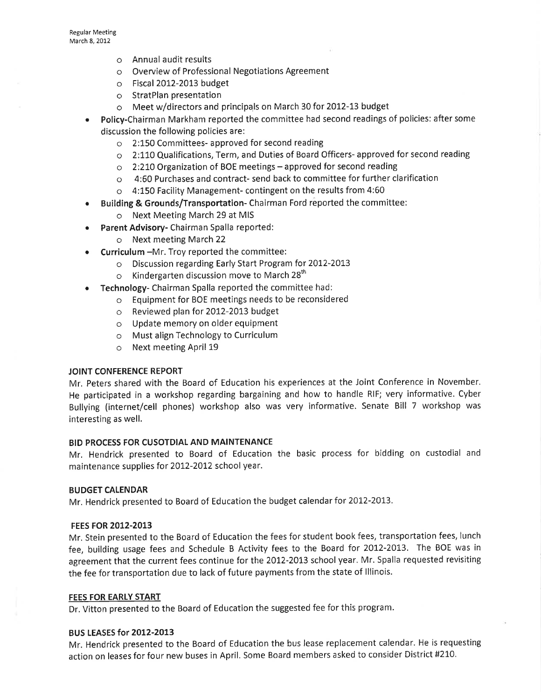- o Annual audit results
- o Overview of Professional Negotiations Agreement
- o Fiscal 2012-2013 budget
- o StratPlan presentation
- o Meet w/directors and principals on March 30 for 2012-L3 budget
- Policy-Chairman Markham reported the committee had second readings of policies: after some discussion the following policies are:
	- o 2:150 Committees- approved for second reading
	- o 2:L1O Qualifications, Term, and Duties of Board Officers- approved for second reading
	- $\circ$  2:210 Organization of BOE meetings approved for second reading
	- o 4:60 Purchases and contract- send back to committee for further clarification
	- o 4:150 Facility Management- contingent on the results from 4:60
	- Building & Grounds/Transportation- Chairman Ford reported the committee:
		- o Next Meeting March 29 at MIS
- Parent Advisory- Chairman Spalla reported:
	- o Next meeting March <sup>22</sup>
- $\bullet$  Curriculum -Mr. Troy reported the committee:
	- o Discussion regarding Early Start Program for 20I2-20L3
	- o Kindergarten discussion move to March 28<sup>th</sup>
- **Technology-** Chairman Spalla reported the committee had:
	- o Equipment for BOE meetings needs to be reconsidered
	- o Reviewed plan for 2012-2013 budget
	- o Update memory on older equipment
	- o Must align Technology to Curriculum
	- o Next meeting April L9

#### JOINT CONFERENCE REPORT

Mr. Peters shared with the Board of Education his experiences at the Joint Conference in November. He participated in a workshop regarding bargaining and how to handle RIF; very informative. Cyber Bullying (internet/cell phones) workshop also was very informative. Senate Bill 7 workshop was interesting as well.

#### BID PROCESS FOR CUSOTDIAL AND MAINTENANCE

Mr. Hendrick presented to Board of Education the basic process for bidding on custodial and maintenance supplies for 2012-2012 school year.

#### BUDGET CALENDAR

Mr. Hendrick presented to Board of Education the budget calendar for 2012-2013.

#### FEES FOR 2012-2013

Mr. Stein presented to the Board of Education the fees for student book fees, transportation fees, lunch fee, building usage fees and Schedule B Activity fees to the Board for 2012-2013. The BOE was in agreement that the current fees continue for the 2012-2013 school year. Mr. Spalla requested revisiting the fee for transportation due to lack of future payments from the state of lllinois.

#### FEES FOR EARLY START

Dr. Vitton presented to the Board of Education the suggested fee for this program.

#### **BUS LEASES for 2012-2013**

Mr. Hendrick presented to the Board of Education the bus lease replacement calendar. He is requesting action on leases for four new buses in April. Some Board members asked to consider District #210.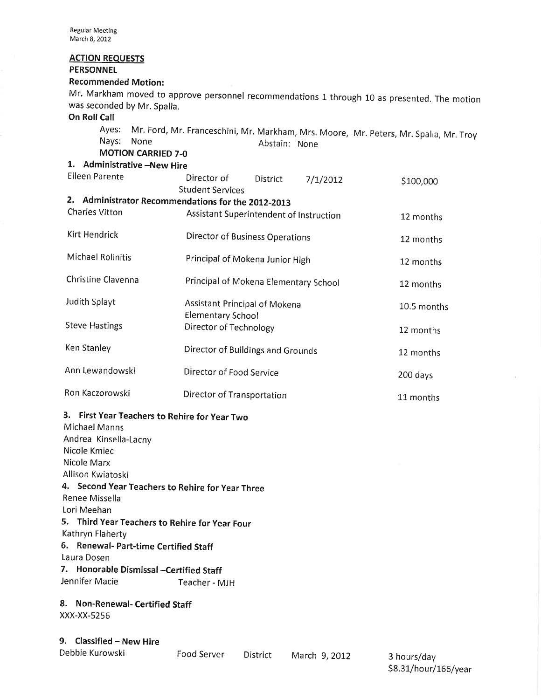## ACTION REQUESTS

# PERSONNEL

# Recommended Motion:

Mr. Markham moved to approve personnel recommendations 1 through 10 as presented. The motion was seconded by Mr. Spalla.

# On Roll Call

Ayes: Mr. Ford, Mr. Franceschini, Mr. Markham, Mrs. Moore, Mr. peters, Mr. Spalla, Mr. Troy Nays: None Abstain: None

MOTION CARRIED 7-O

# 1. Administrative -New Hire

| Eileen Parente                                     | Director of<br>Student Services                    | District | 7/1/2012 | \$100,000   |
|----------------------------------------------------|----------------------------------------------------|----------|----------|-------------|
| 2. Administrator Recommendations for the 2012-2013 |                                                    |          |          |             |
| <b>Charles Vitton</b>                              | Assistant Superintendent of Instruction            |          |          | 12 months   |
| Kirt Hendrick                                      | <b>Director of Business Operations</b>             |          |          | 12 months   |
| Michael Rolinitis                                  | Principal of Mokena Junior High                    |          |          | 12 months   |
| Christine Clavenna                                 | Principal of Mokena Elementary School              |          |          | 12 months   |
| Judith Splayt                                      | Assistant Principal of Mokena                      |          |          | 10.5 months |
| <b>Steve Hastings</b>                              | <b>Elementary School</b><br>Director of Technology |          |          | 12 months   |
| Ken Stanley                                        | Director of Buildings and Grounds                  |          |          | 12 months   |
| Ann Lewandowski                                    | Director of Food Service                           |          |          | 200 days    |
| Ron Kaczorowski                                    | Director of Transportation                         |          |          | 11 months   |

# 3. First Year Teachers to Rehire for year Two

| Michael Manns                                    |               |
|--------------------------------------------------|---------------|
| Andrea Kinsella-Lacny                            |               |
| Nicole Kmiec                                     |               |
| Nicole Marx                                      |               |
| Allison Kwiatoski                                |               |
| 4. Second Year Teachers to Rehire for Year Three |               |
| Renee Missella                                   |               |
| Lori Meehan                                      |               |
| 5. Third Year Teachers to Rehire for Year Four   |               |
| Kathryn Flaherty                                 |               |
| 6. Renewal- Part-time Certified Staff            |               |
| Laura Dosen                                      |               |
| 7. Honorable Dismissal –Certified Staff          |               |
| Jennifer Macie                                   | Teacher - MJH |
|                                                  |               |

## 8. Non-Renewal- Certified Staff XXX-XX-5256

9. Classified - New Hire

| Debbie Kurowski |  |
|-----------------|--|

Food Server District March 9, 2012 3 hours/day

\$8.31/hour/166/year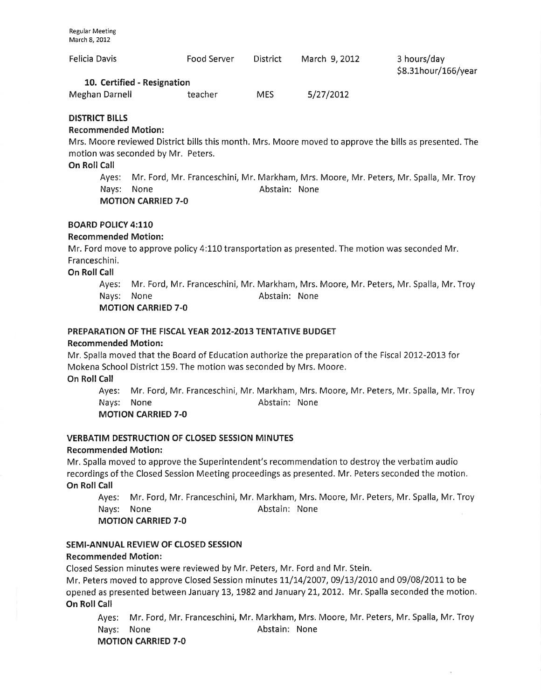| Felicia Davis                                                                                          | Food Server | <b>District</b> | March 9, 2012 | 3 hours/day<br>\$8.31hour/166/year |  |
|--------------------------------------------------------------------------------------------------------|-------------|-----------------|---------------|------------------------------------|--|
| 10. Certified - Resignation                                                                            |             |                 |               |                                    |  |
| Meghan Darnell                                                                                         | teacher     | <b>MES</b>      | 5/27/2012     |                                    |  |
| <b>DISTRICT BILLS</b>                                                                                  |             |                 |               |                                    |  |
| <b>Recommended Motion:</b>                                                                             |             |                 |               |                                    |  |
| Mrs. Moore reviewed District bills this month. Mrs. Moore moved to approve the bills as presented. The |             |                 |               |                                    |  |

s. Moore reviewed District bills this month. Mrs. Moore moved to approve the bills as presented. The motion was seconded by Mr. Peters.

#### On Roll Call

Ayes: Mr. Ford, Mr. Franceschini, Mr. Markham, Mrs. Moore, Mr. Peters, Mr. Spalla, Mr. Troy Nays: None **Abstain:** None MOTION CARRIED 7.0

#### BOARD POIICY 4:110

## Recommended Motion:

Mr. Ford move to approve policy 4:110 transportation as presented. The motion was seconded Mr. Franceschini.

On Roll Call

Ayes: Mr. Ford, Mr. Franceschini, Mr. Markham, Mrs. Moore, Mr. Peters, Mr. Spalla, Mr. Troy Nays: None **Abstain:** None MOTION CARRIED 7-O

## PREPARATION OF THE FISCAL YEAR 2012-2013 TENTATIVE BUDGET

#### Recommended Motion:

Mr. Spalla moved that the Board of Education authorize the preparation of the Fiscal 2012-2013 for Mokena School District 159. The motion was seconded by Mrs. Moore.

On Roll Call

Ayes: Mr. Ford, Mr. Franceschini, Mr. Markham, Mrs. Moore, Mr. Peters, Mr. Spalla, Mr.Troy Nays: None **Abstain:** None

MOTION CARRIED 7-O

## VERBATIM DESTRUCTION OF CLOSED SESSION MINUTES

#### Recommended Motion:

Mr. Spalla moved to approve the Superintendent's recommendation to destroy the verbatim audio recordings of the Closed Session Meeting proceedings as presented. Mr. Peters seconded the motion. On Roll Call

Ayes: Mr. Ford, Mr. Franceschini, Mr. Markham, Mrs. Moore, Mr. Peters, Mr. Spalla, Mr. Troy Nays: None **Abstain:** None

MOTION CARRIED 7-O

## SEMl-ANNUAL REVIEW OF CLOSED SESSION

## Recommended Motion:

Closed Session minutes were reviewed by Mr. Peters, Mr. Ford and Mr. Stein.

Mr. Peters moved to approve Closed Session minutes  $11/14/2007$ , 09/13/2010 and 09/08/2011 to be opened as presented between January 13, 1982 and January 21, 2012. Mr. Spalla seconded the motion. On Roll Call

Ayes: Mr. Ford, Mr. Franceschini, Mr. Markham, Mrs. Moore, Mr. Peters, Mr. Spalla, Mr. Troy Nays: None **Abstain:** None MOTION CARRIED 7-O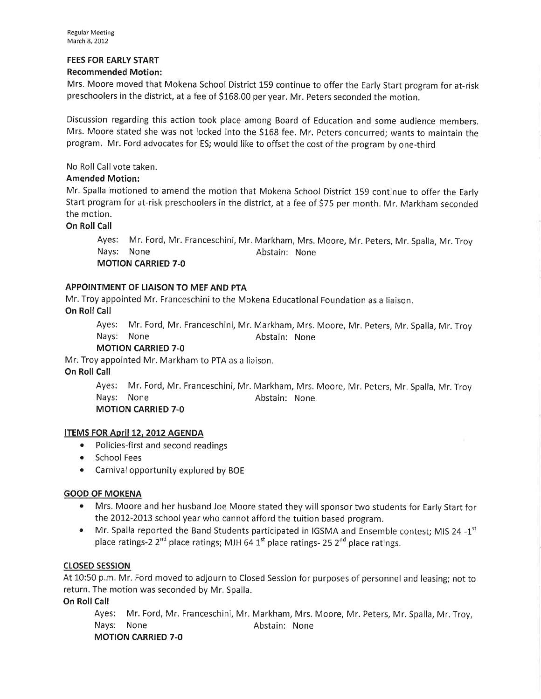# FEES FOR EARLY START

# Recommended Motion:

Mrs. Moore moved that Mokena School District 159 continue to offer the Early Start program for at-risk preschoolers in the district, at a fee of S168.00 peryear. Mr. Peters seconded the motion.

Discussion regarding this action took place among Board of Education and some audience members. Mrs. Moore stated she was not locked into the \$168 fee. Mr. Peters concurred; wants to maintain the program. Mr. Ford advocates for ES; would like to offset the cost of the program by one-third

No Roll Call vote taken.

# Amended Motion:

Mr. Spalla motioned to amend the motion that Mokena School District 159 continue to offer the Early Start program for at-risk preschoolers in the district, at a fee of S75 per month. Mr. Markham seconded the motion.

On Roll Call

Ayes: Mr. Ford, Mr. Franceschini, Mr. Markham, Mrs. Moore, Mr. Peters, Mr. Spalla, Mr. Troy Nays: None **Abstain:** None MOTION CARRIED 7-O

# APPOINTMENT OF LIAISON TO MEF AND PTA

Mr. Troy appointed Mr. Franceschinito the Mokena Educational Foundation as a liaison. On Roll Call

Ayes: Mr. Ford, Mr. Franceschini, Mr. Markham, Mrs. Moore, Mr. Peters, Mr. Spalla, Mr. Troy Nays: None **Abstain:** None

MOTION CARRIED 7-O

Mr. Troy appointed Mr. Markham to PTA as a liaison. On Roll Call

> Ayes: Mr. Ford, Mr. Franceschini, Mr. Markham, Mrs. Moore, Mr. Peters, Mr. Spalla, Mr, Troy Nays: None **Abstain:** None MOTION CARRIED 7-O

## ITEMS FOR April 12, 2012 AGENDA

- Policies-first and second readings
- School Fees
- Carnival opportunity explored by BOE

## GOOD OF MOKENA

- o Mrs. Moore and her husband Joe Moore stated they will sponsor two students for Early Start for the 2012-2013 school year who cannot afford the tuition based program.
- $\bullet$  Mr. Spalla reported the Band Students participated in IGSMA and Ensemble contest: MIS 24 -1<sup>st</sup> place ratings-2  $2^{nd}$  place ratings; MJH 64  $1^{st}$  place ratings- 25  $2^{nd}$  place ratings.

# cLosED sEssroN

At 10:50 p.m. Mr. Ford moved to adjourn to Closed Session for purposes of personnel and leasing; not to return. The motion was seconded by Mr, Spalla.

On Roll Call

Ayes: Mr. Ford, Mr. Franceschini, Mr. Markham, Mrs. Moore, Mr. Peters, Mr. Spalla, Mr. Troy, Nays: None **Abstain:** None MOTION CARRIED 7-O